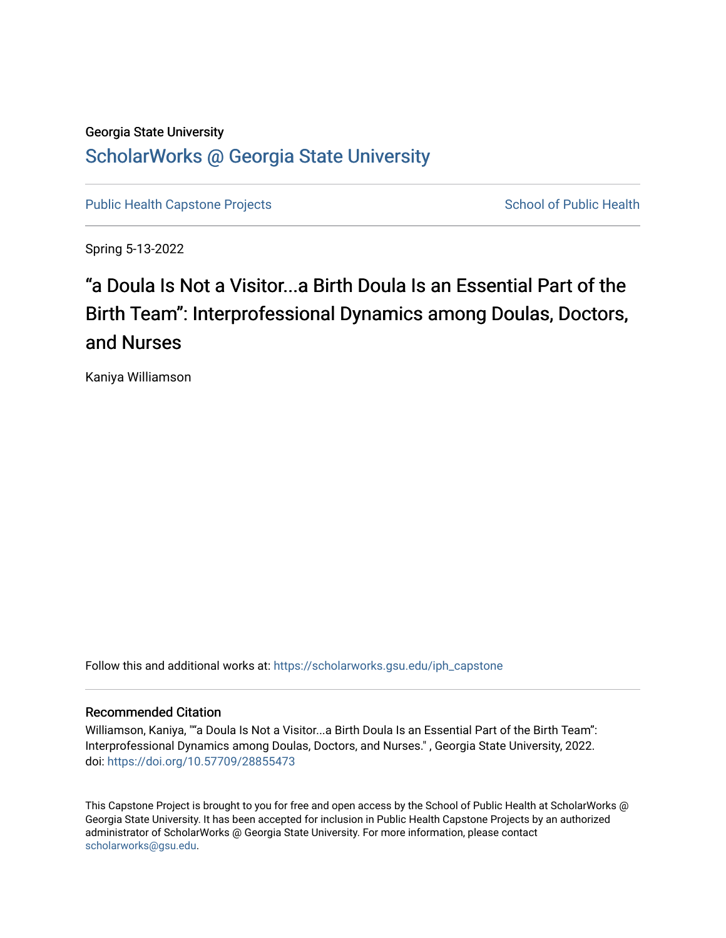### Georgia State University [ScholarWorks @ Georgia State University](https://scholarworks.gsu.edu/)

[Public Health Capstone Projects](https://scholarworks.gsu.edu/iph_capstone) **School of Public Health** School of Public Health

Spring 5-13-2022

# "a Doula Is Not a Visitor...a Birth Doula Is an Essential Part of the Birth Team": Interprofessional Dynamics among Doulas, Doctors, and Nurses

Kaniya Williamson

Follow this and additional works at: [https://scholarworks.gsu.edu/iph\\_capstone](https://scholarworks.gsu.edu/iph_capstone?utm_source=scholarworks.gsu.edu%2Fiph_capstone%2F144&utm_medium=PDF&utm_campaign=PDFCoverPages)

#### Recommended Citation

Williamson, Kaniya, ""a Doula Is Not a Visitor...a Birth Doula Is an Essential Part of the Birth Team": Interprofessional Dynamics among Doulas, Doctors, and Nurses." , Georgia State University, 2022. doi: <https://doi.org/10.57709/28855473>

This Capstone Project is brought to you for free and open access by the School of Public Health at ScholarWorks @ Georgia State University. It has been accepted for inclusion in Public Health Capstone Projects by an authorized administrator of ScholarWorks @ Georgia State University. For more information, please contact [scholarworks@gsu.edu.](mailto:scholarworks@gsu.edu)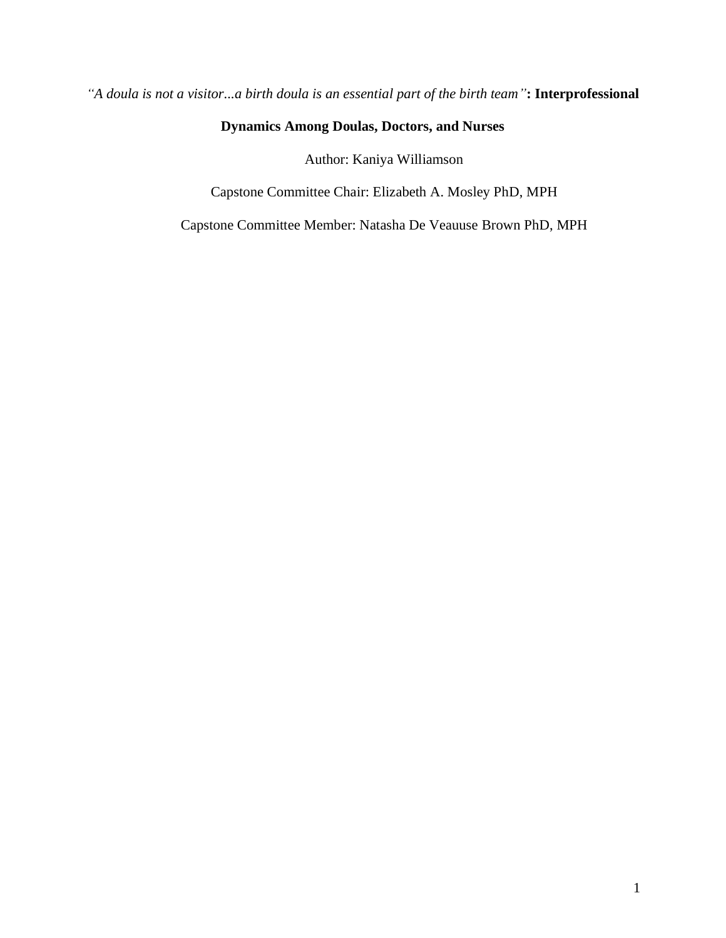*"A doula is not a visitor...a birth doula is an essential part of the birth team"***: Interprofessional** 

### **Dynamics Among Doulas, Doctors, and Nurses**

Author: Kaniya Williamson

Capstone Committee Chair: Elizabeth A. Mosley PhD, MPH

Capstone Committee Member: Natasha De Veauuse Brown PhD, MPH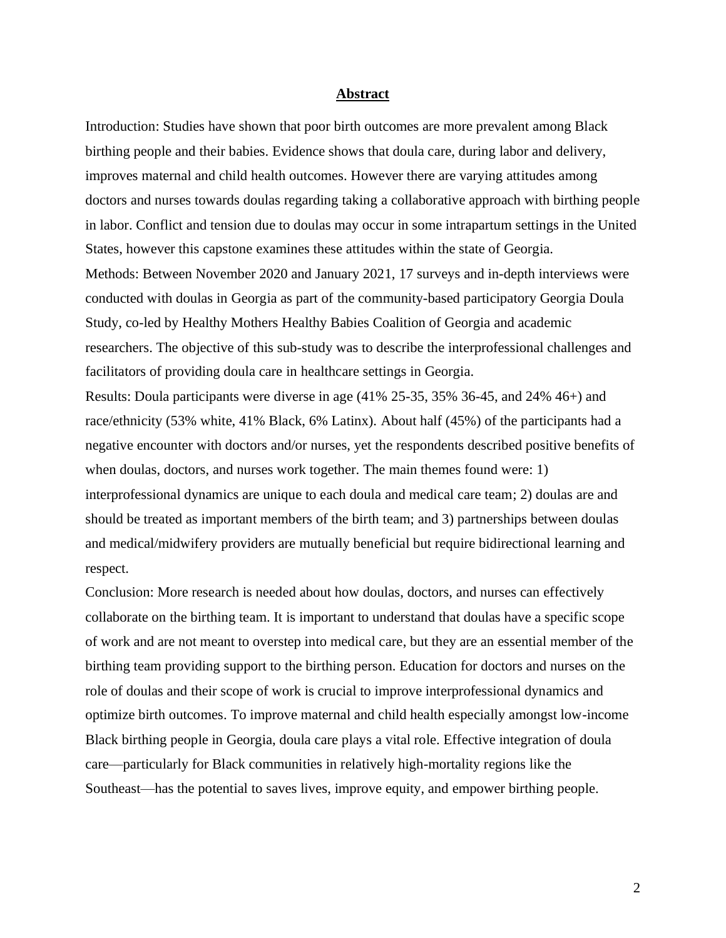#### **Abstract**

Introduction: Studies have shown that poor birth outcomes are more prevalent among Black birthing people and their babies. Evidence shows that doula care, during labor and delivery, improves maternal and child health outcomes. However there are varying attitudes among doctors and nurses towards doulas regarding taking a collaborative approach with birthing people in labor. Conflict and tension due to doulas may occur in some intrapartum settings in the United States, however this capstone examines these attitudes within the state of Georgia. Methods: Between November 2020 and January 2021, 17 surveys and in-depth interviews were conducted with doulas in Georgia as part of the community-based participatory Georgia Doula Study, co-led by Healthy Mothers Healthy Babies Coalition of Georgia and academic researchers. The objective of this sub-study was to describe the interprofessional challenges and facilitators of providing doula care in healthcare settings in Georgia. Results: Doula participants were diverse in age (41% 25-35, 35% 36-45, and 24% 46+) and

race/ethnicity (53% white, 41% Black, 6% Latinx). About half (45%) of the participants had a negative encounter with doctors and/or nurses, yet the respondents described positive benefits of when doulas, doctors, and nurses work together. The main themes found were: 1) interprofessional dynamics are unique to each doula and medical care team; 2) doulas are and should be treated as important members of the birth team; and 3) partnerships between doulas and medical/midwifery providers are mutually beneficial but require bidirectional learning and respect.

Conclusion: More research is needed about how doulas, doctors, and nurses can effectively collaborate on the birthing team. It is important to understand that doulas have a specific scope of work and are not meant to overstep into medical care, but they are an essential member of the birthing team providing support to the birthing person. Education for doctors and nurses on the role of doulas and their scope of work is crucial to improve interprofessional dynamics and optimize birth outcomes. To improve maternal and child health especially amongst low-income Black birthing people in Georgia, doula care plays a vital role. Effective integration of doula care—particularly for Black communities in relatively high-mortality regions like the Southeast—has the potential to saves lives, improve equity, and empower birthing people.

2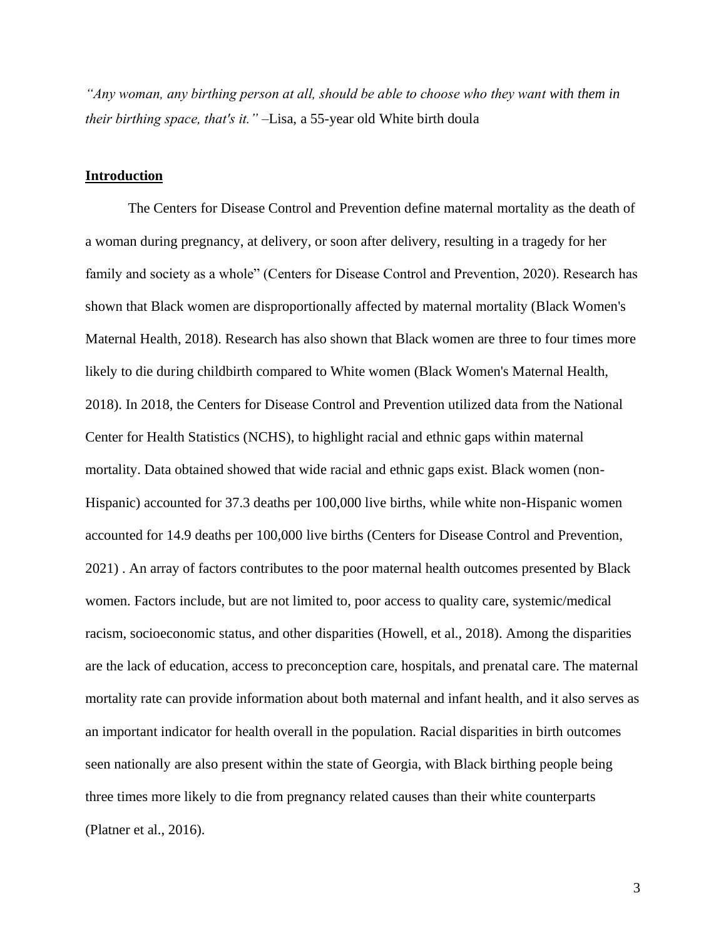*"Any woman, any birthing person at all, should be able to choose who they want with them in their birthing space, that's it." –*Lisa, a 55-year old White birth doula

#### **Introduction**

The Centers for Disease Control and Prevention define maternal mortality as the death of a woman during pregnancy, at delivery, or soon after delivery, resulting in a tragedy for her family and society as a whole" (Centers for Disease Control and Prevention, 2020). Research has shown that Black women are disproportionally affected by maternal mortality (Black Women's Maternal Health, 2018). Research has also shown that Black women are three to four times more likely to die during childbirth compared to White women (Black Women's Maternal Health, 2018). In 2018, the Centers for Disease Control and Prevention utilized data from the National Center for Health Statistics (NCHS), to highlight racial and ethnic gaps within maternal mortality. Data obtained showed that wide racial and ethnic gaps exist. Black women (non-Hispanic) accounted for 37.3 deaths per 100,000 live births, while white non-Hispanic women accounted for 14.9 deaths per 100,000 live births (Centers for Disease Control and Prevention, 2021) . An array of factors contributes to the poor maternal health outcomes presented by Black women. Factors include, but are not limited to, poor access to quality care, systemic/medical racism, socioeconomic status, and other disparities (Howell, et al., 2018). Among the disparities are the lack of education, access to preconception care, hospitals, and prenatal care. The maternal mortality rate can provide information about both maternal and infant health, and it also serves as an important indicator for health overall in the population. Racial disparities in birth outcomes seen nationally are also present within the state of Georgia, with Black birthing people being three times more likely to die from pregnancy related causes than their white counterparts (Platner et al., 2016).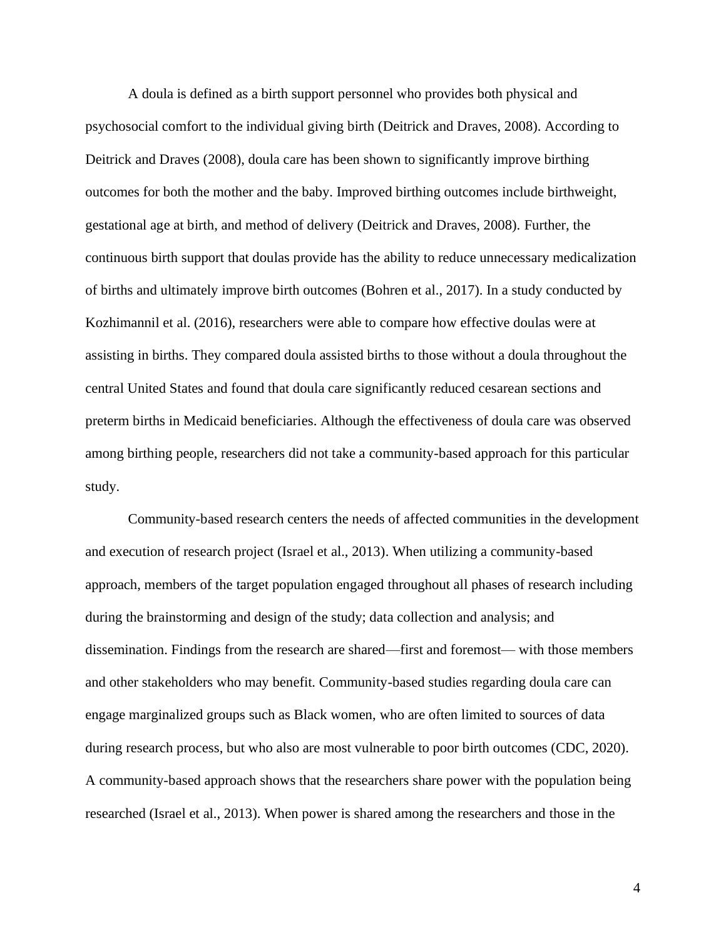A doula is defined as a birth support personnel who provides both physical and psychosocial comfort to the individual giving birth (Deitrick and Draves, 2008). According to Deitrick and Draves (2008), doula care has been shown to significantly improve birthing outcomes for both the mother and the baby. Improved birthing outcomes include birthweight, gestational age at birth, and method of delivery (Deitrick and Draves, 2008). Further, the continuous birth support that doulas provide has the ability to reduce unnecessary medicalization of births and ultimately improve birth outcomes (Bohren et al., 2017). In a study conducted by Kozhimannil et al. (2016), researchers were able to compare how effective doulas were at assisting in births. They compared doula assisted births to those without a doula throughout the central United States and found that doula care significantly reduced cesarean sections and preterm births in Medicaid beneficiaries. Although the effectiveness of doula care was observed among birthing people, researchers did not take a community-based approach for this particular study.

Community-based research centers the needs of affected communities in the development and execution of research project (Israel et al., 2013). When utilizing a community-based approach, members of the target population engaged throughout all phases of research including during the brainstorming and design of the study; data collection and analysis; and dissemination. Findings from the research are shared—first and foremost— with those members and other stakeholders who may benefit. Community-based studies regarding doula care can engage marginalized groups such as Black women, who are often limited to sources of data during research process, but who also are most vulnerable to poor birth outcomes (CDC, 2020). A community-based approach shows that the researchers share power with the population being researched (Israel et al., 2013). When power is shared among the researchers and those in the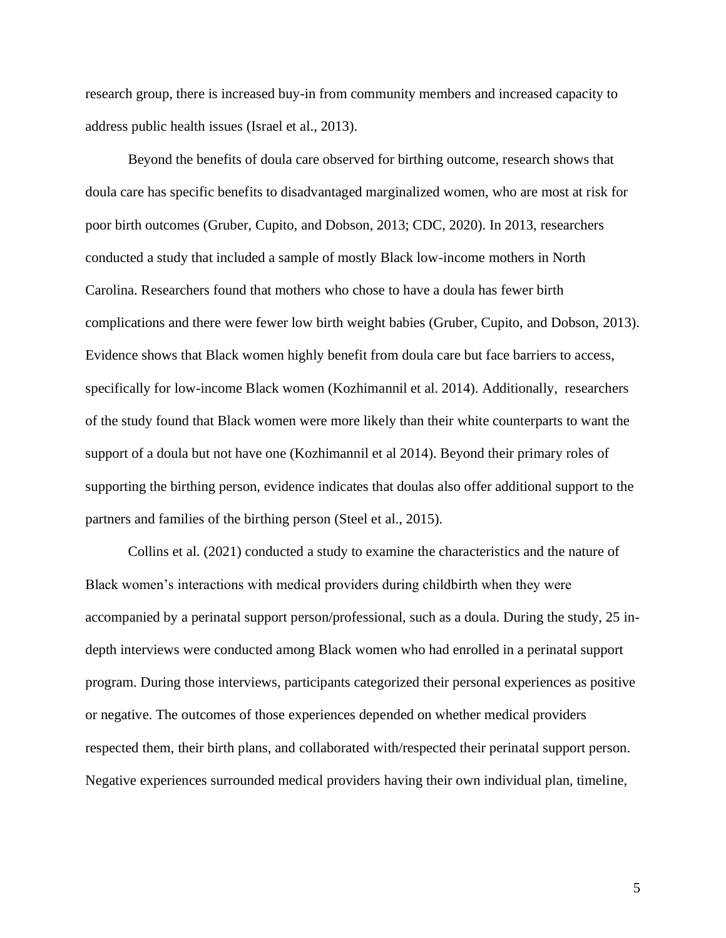research group, there is increased buy-in from community members and increased capacity to address public health issues (Israel et al., 2013).

Beyond the benefits of doula care observed for birthing outcome, research shows that doula care has specific benefits to disadvantaged marginalized women, who are most at risk for poor birth outcomes (Gruber, Cupito, and Dobson, 2013; CDC, 2020). In 2013, researchers conducted a study that included a sample of mostly Black low-income mothers in North Carolina. Researchers found that mothers who chose to have a doula has fewer birth complications and there were fewer low birth weight babies (Gruber, Cupito, and Dobson, 2013). Evidence shows that Black women highly benefit from doula care but face barriers to access, specifically for low-income Black women (Kozhimannil et al. 2014). Additionally, researchers of the study found that Black women were more likely than their white counterparts to want the support of a doula but not have one (Kozhimannil et al 2014). Beyond their primary roles of supporting the birthing person, evidence indicates that doulas also offer additional support to the partners and families of the birthing person (Steel et al., 2015).

Collins et al. (2021) conducted a study to examine the characteristics and the nature of Black women's interactions with medical providers during childbirth when they were accompanied by a perinatal support person/professional, such as a doula. During the study, 25 indepth interviews were conducted among Black women who had enrolled in a perinatal support program. During those interviews, participants categorized their personal experiences as positive or negative. The outcomes of those experiences depended on whether medical providers respected them, their birth plans, and collaborated with/respected their perinatal support person. Negative experiences surrounded medical providers having their own individual plan, timeline,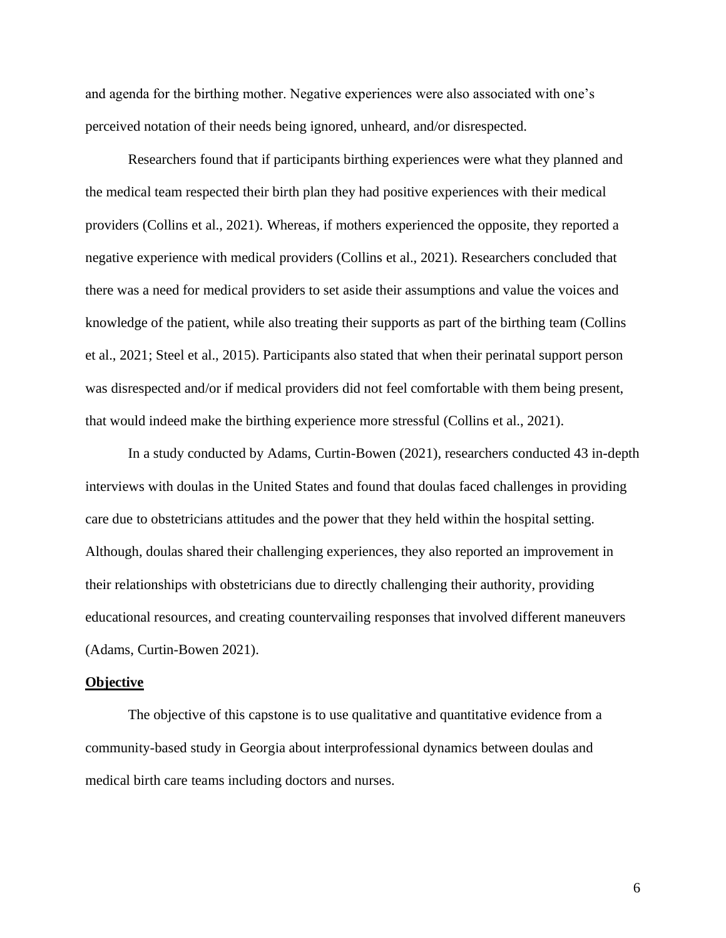and agenda for the birthing mother. Negative experiences were also associated with one's perceived notation of their needs being ignored, unheard, and/or disrespected.

Researchers found that if participants birthing experiences were what they planned and the medical team respected their birth plan they had positive experiences with their medical providers (Collins et al., 2021). Whereas, if mothers experienced the opposite, they reported a negative experience with medical providers (Collins et al., 2021). Researchers concluded that there was a need for medical providers to set aside their assumptions and value the voices and knowledge of the patient, while also treating their supports as part of the birthing team (Collins et al., 2021; Steel et al., 2015). Participants also stated that when their perinatal support person was disrespected and/or if medical providers did not feel comfortable with them being present, that would indeed make the birthing experience more stressful (Collins et al., 2021).

In a study conducted by Adams, Curtin-Bowen (2021), researchers conducted 43 in-depth interviews with doulas in the United States and found that doulas faced challenges in providing care due to obstetricians attitudes and the power that they held within the hospital setting. Although, doulas shared their challenging experiences, they also reported an improvement in their relationships with obstetricians due to directly challenging their authority, providing educational resources, and creating countervailing responses that involved different maneuvers (Adams, Curtin-Bowen 2021).

#### **Objective**

The objective of this capstone is to use qualitative and quantitative evidence from a community-based study in Georgia about interprofessional dynamics between doulas and medical birth care teams including doctors and nurses.

6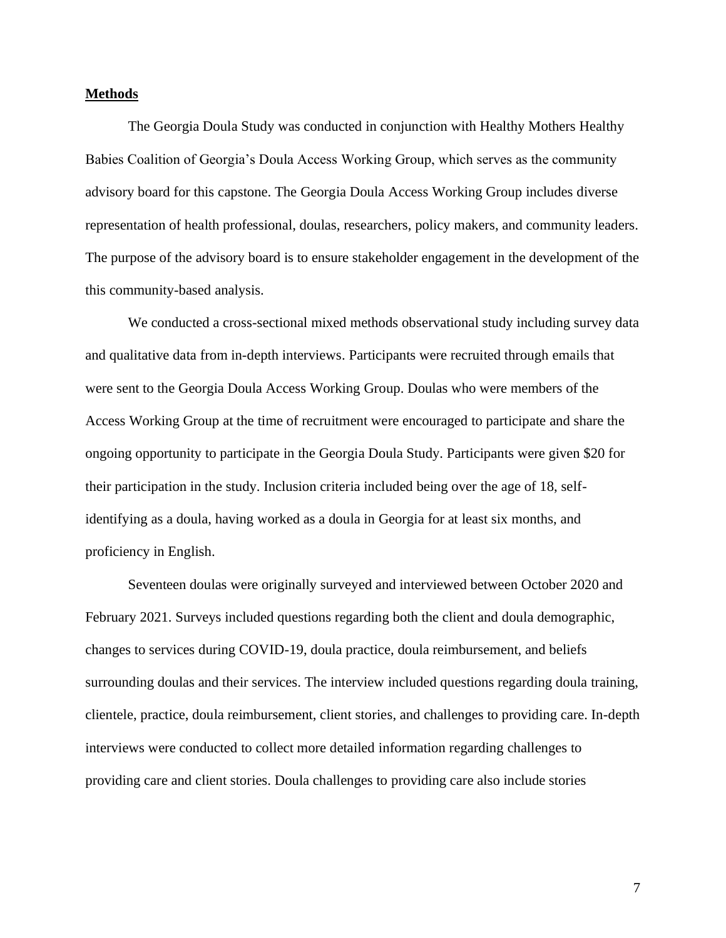#### **Methods**

The Georgia Doula Study was conducted in conjunction with Healthy Mothers Healthy Babies Coalition of Georgia's Doula Access Working Group, which serves as the community advisory board for this capstone. The Georgia Doula Access Working Group includes diverse representation of health professional, doulas, researchers, policy makers, and community leaders. The purpose of the advisory board is to ensure stakeholder engagement in the development of the this community-based analysis.

We conducted a cross-sectional mixed methods observational study including survey data and qualitative data from in-depth interviews. Participants were recruited through emails that were sent to the Georgia Doula Access Working Group. Doulas who were members of the Access Working Group at the time of recruitment were encouraged to participate and share the ongoing opportunity to participate in the Georgia Doula Study. Participants were given \$20 for their participation in the study. Inclusion criteria included being over the age of 18, selfidentifying as a doula, having worked as a doula in Georgia for at least six months, and proficiency in English.

Seventeen doulas were originally surveyed and interviewed between October 2020 and February 2021. Surveys included questions regarding both the client and doula demographic, changes to services during COVID-19, doula practice, doula reimbursement, and beliefs surrounding doulas and their services. The interview included questions regarding doula training, clientele, practice, doula reimbursement, client stories, and challenges to providing care. In-depth interviews were conducted to collect more detailed information regarding challenges to providing care and client stories. Doula challenges to providing care also include stories

7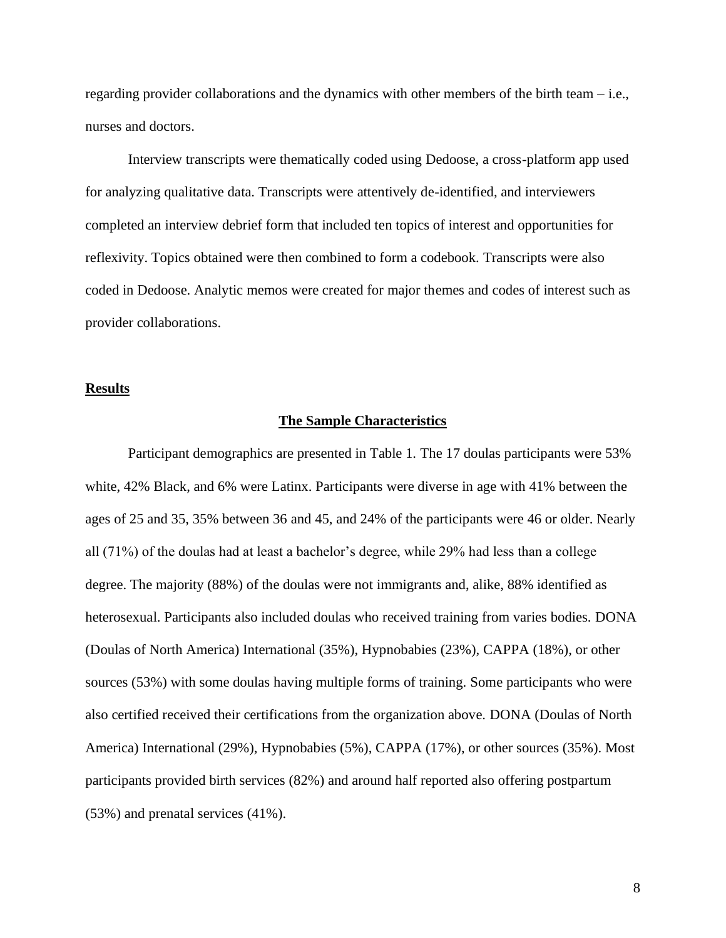regarding provider collaborations and the dynamics with other members of the birth team  $-$  i.e., nurses and doctors.

Interview transcripts were thematically coded using Dedoose, a cross-platform app used for analyzing qualitative data. Transcripts were attentively de-identified, and interviewers completed an interview debrief form that included ten topics of interest and opportunities for reflexivity. Topics obtained were then combined to form a codebook. Transcripts were also coded in Dedoose. Analytic memos were created for major themes and codes of interest such as provider collaborations.

#### **Results**

#### **The Sample Characteristics**

Participant demographics are presented in Table 1. The 17 doulas participants were 53% white, 42% Black, and 6% were Latinx. Participants were diverse in age with 41% between the ages of 25 and 35, 35% between 36 and 45, and 24% of the participants were 46 or older. Nearly all (71%) of the doulas had at least a bachelor's degree, while 29% had less than a college degree. The majority (88%) of the doulas were not immigrants and, alike, 88% identified as heterosexual. Participants also included doulas who received training from varies bodies. DONA (Doulas of North America) International (35%), Hypnobabies (23%), CAPPA (18%), or other sources (53%) with some doulas having multiple forms of training. Some participants who were also certified received their certifications from the organization above. DONA (Doulas of North America) International (29%), Hypnobabies (5%), CAPPA (17%), or other sources (35%). Most participants provided birth services (82%) and around half reported also offering postpartum (53%) and prenatal services (41%).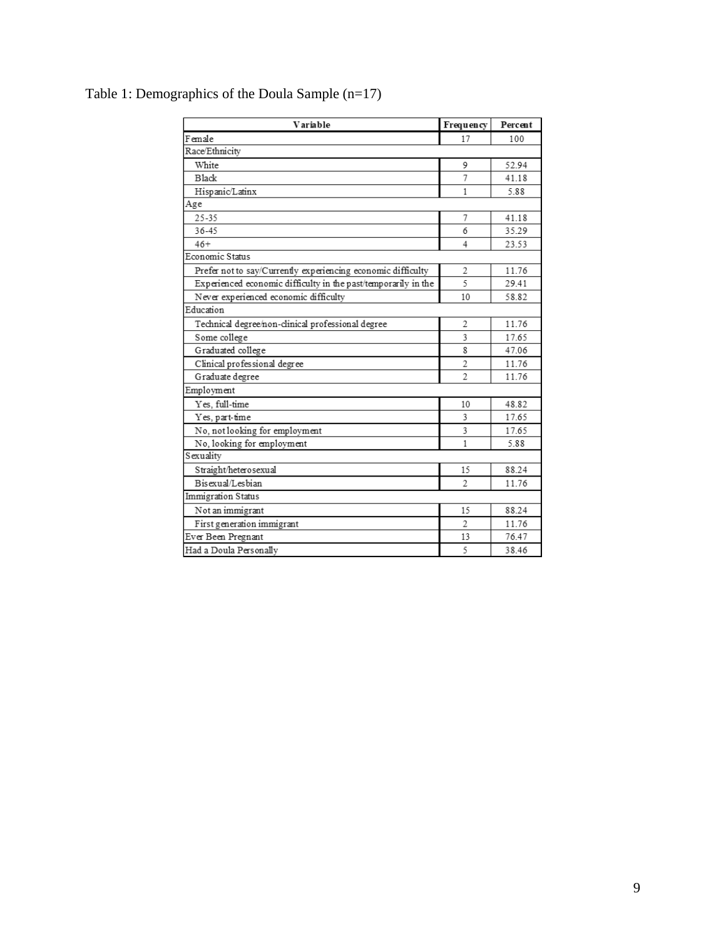| Variable                                                       | Frequency                | Percent |
|----------------------------------------------------------------|--------------------------|---------|
| Female                                                         | 17                       | 100     |
| Race/Ethnicity                                                 |                          |         |
| White                                                          | 9                        | 52.94   |
| <b>Black</b>                                                   | 7                        | 41.18   |
| Hispanic/Latinx                                                | 1                        | 5.88    |
| Age                                                            |                          |         |
| 25-35                                                          | 7                        | 41.18   |
| 36-45                                                          | 6                        | 35.29   |
| $46+$                                                          | 4                        | 23.53   |
| Economic Status                                                |                          |         |
| Prefer not to say/Currently experiencing economic difficulty   | 2                        | 11.76   |
| Experienced economic difficulty in the past/temporarily in the | 5                        | 29.41   |
| Never experienced economic difficulty                          | 10                       | 58.82   |
| Education                                                      |                          |         |
| Technical degree/non-clinical professional degree              | 2                        | 11.76   |
| Some college                                                   | 3                        | 17.65   |
| Graduated college                                              | 8                        | 47.06   |
| Clinical professional degree                                   | $\overline{c}$           | 11.76   |
| Graduate degree                                                | $\overline{\mathcal{L}}$ | 11.76   |
| Employment                                                     |                          |         |
| Yes. full-time                                                 | 10                       | 48.82   |
| Yes, part-time                                                 | 3                        | 17.65   |
| No, not looking for employment                                 | 3                        | 17.65   |
| No, looking for employment                                     | 1                        | 5.88    |
| Sexuality                                                      |                          |         |
| Straight/heterosexual                                          | 15                       | 88.24   |
| Bisexual/Lesbian                                               | $\overline{c}$           | 11.76   |
| Immigration Status                                             |                          |         |
| Not an immigrant                                               | 15                       | 88.24   |
| First generation immigrant                                     | $\overline{\mathcal{L}}$ | 11.76   |
| Ever Been Pregnant                                             | 13                       | 76.47   |
| Had a Doula Personally                                         | 5                        | 38.46   |

### Table 1: Demographics of the Doula Sample (n=17)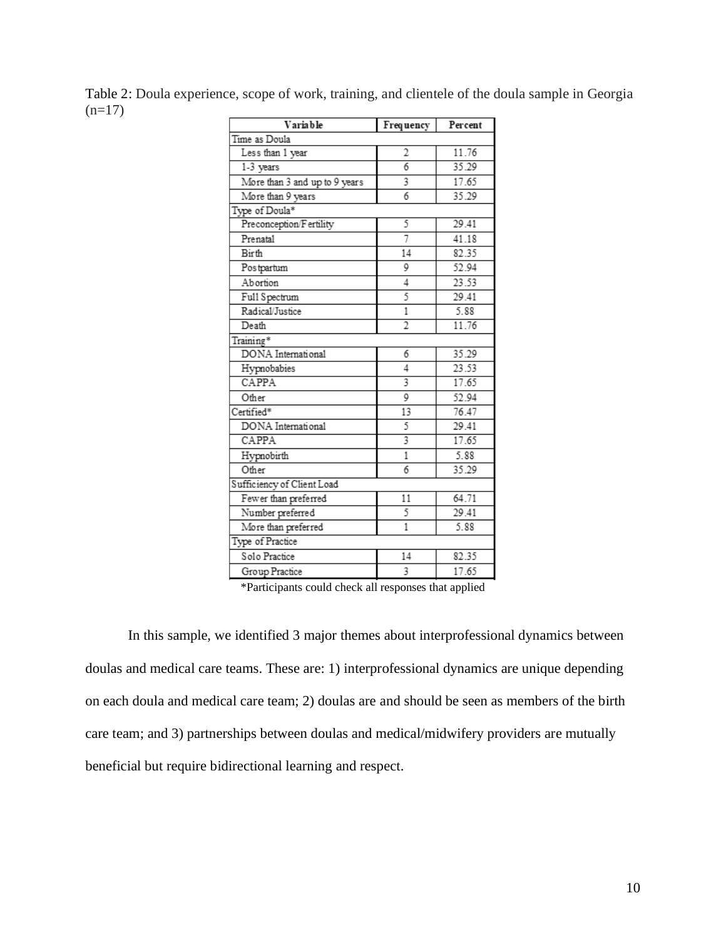Table 2: Doula experience, scope of work, training, and clientele of the doula sample in Georgia  $(n=17)$ 

| Variable                      | Frequency      | Percent |  |
|-------------------------------|----------------|---------|--|
| Time as Doula                 |                |         |  |
| Less than 1 year              | 2              | 11.76   |  |
| 1-3 years                     | 6              | 35.29   |  |
| More than 3 and up to 9 years | 3              | 17.65   |  |
| More than 9 years             | 6              | 35.29   |  |
| Type of Doula*                |                |         |  |
| Preconception/Fertility       | 5              | 29.41   |  |
| Prenatal                      | 7              | 41.18   |  |
| Birth                         | 14             | 82.35   |  |
| Postpartum                    | 9              | 52.94   |  |
| Abortion                      | 4              | 23.53   |  |
| Full Spectrum                 | 5              | 29.41   |  |
| Radical/Justice               | $\mathbf{1}$   | 5.88    |  |
| Death                         | $\overline{2}$ | 11.76   |  |
| Training*                     |                |         |  |
| DONA International            | 6              | 35.29   |  |
| Hypnobabies                   | 4              | 23.53   |  |
| CAPPA                         | 3              | 17.65   |  |
| Other                         | 9              | 52.94   |  |
| Certified*                    | 13             | 76.47   |  |
| DONA International            | 5              | 29.41   |  |
| CAPPA                         | 3              | 17.65   |  |
| Hypnobirth                    | $\mathbf{1}$   | 5.88    |  |
| Other                         | 6              | 35.29   |  |
| Sufficiency of Client Load    |                |         |  |
| Fewer than preferred          | 11             | 64.71   |  |
| Number preferred              | 5              | 29.41   |  |
| More than preferred           | $\overline{1}$ | 5.88    |  |
| Type of Practice              |                |         |  |
| Solo Practice                 | 14             | 82.35   |  |
| Group Practice                | 3              | 17.65   |  |
|                               |                |         |  |

\*Participants could check all responses that applied

In this sample, we identified 3 major themes about interprofessional dynamics between doulas and medical care teams. These are: 1) interprofessional dynamics are unique depending on each doula and medical care team; 2) doulas are and should be seen as members of the birth care team; and 3) partnerships between doulas and medical/midwifery providers are mutually beneficial but require bidirectional learning and respect.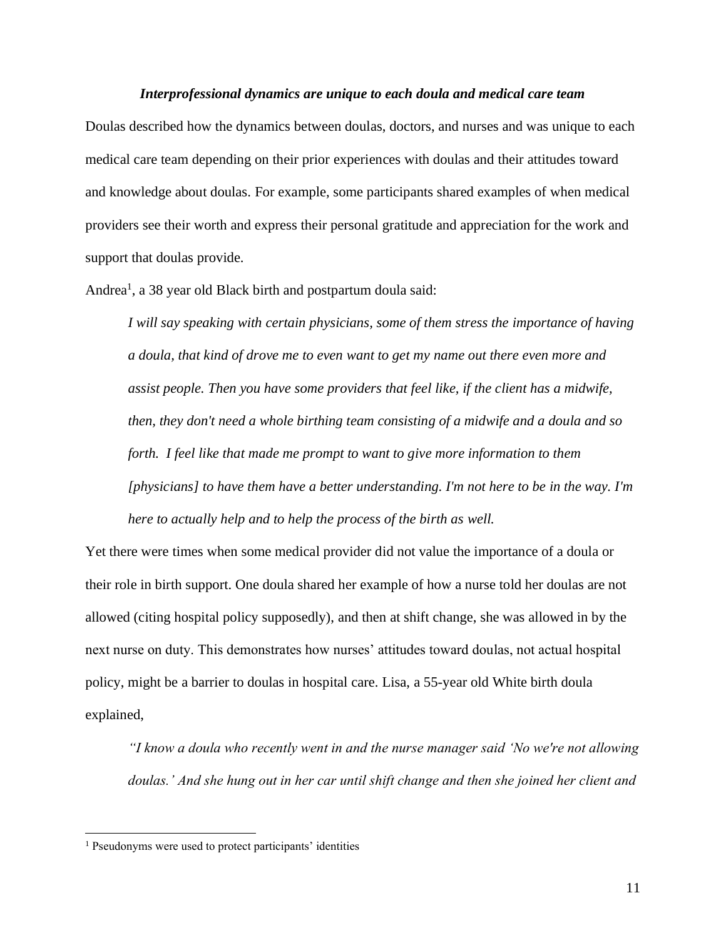#### *Interprofessional dynamics are unique to each doula and medical care team*

Doulas described how the dynamics between doulas, doctors, and nurses and was unique to each medical care team depending on their prior experiences with doulas and their attitudes toward and knowledge about doulas. For example, some participants shared examples of when medical providers see their worth and express their personal gratitude and appreciation for the work and support that doulas provide.

Andrea<sup>1</sup>, a 38 year old Black birth and postpartum doula said:

*I will say speaking with certain physicians, some of them stress the importance of having a doula, that kind of drove me to even want to get my name out there even more and assist people. Then you have some providers that feel like, if the client has a midwife, then, they don't need a whole birthing team consisting of a midwife and a doula and so forth. I feel like that made me prompt to want to give more information to them [physicians] to have them have a better understanding. I'm not here to be in the way. I'm here to actually help and to help the process of the birth as well.*

Yet there were times when some medical provider did not value the importance of a doula or their role in birth support. One doula shared her example of how a nurse told her doulas are not allowed (citing hospital policy supposedly), and then at shift change, she was allowed in by the next nurse on duty. This demonstrates how nurses' attitudes toward doulas, not actual hospital policy, might be a barrier to doulas in hospital care. Lisa, a 55-year old White birth doula explained,

*"I know a doula who recently went in and the nurse manager said 'No we're not allowing doulas.' And she hung out in her car until shift change and then she joined her client and* 

<sup>&</sup>lt;sup>1</sup> Pseudonyms were used to protect participants' identities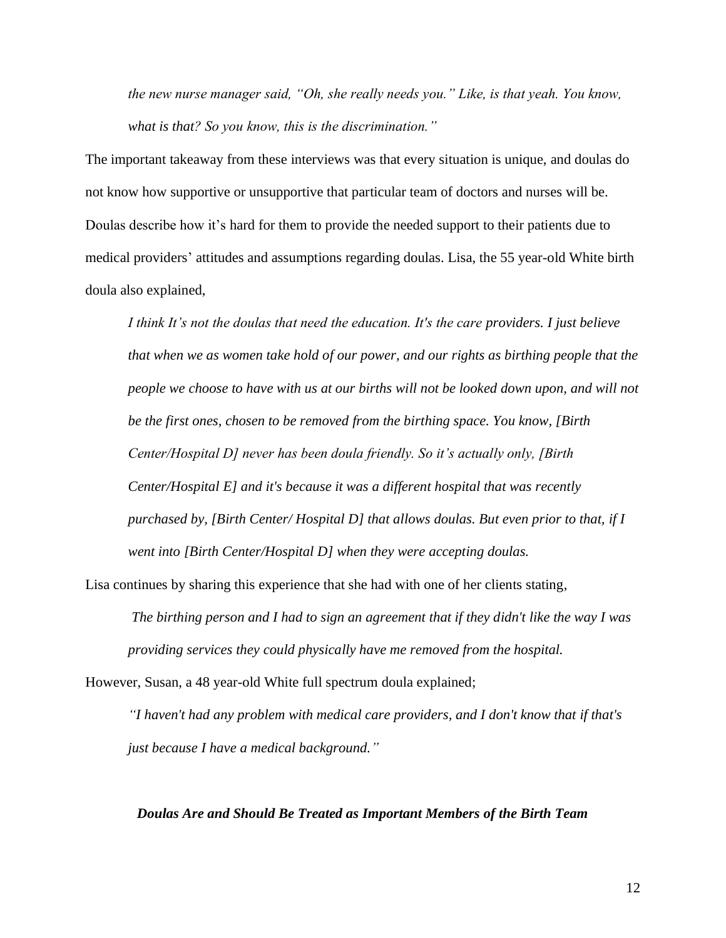*the new nurse manager said, "Oh, she really needs you." Like, is that yeah. You know, what is that? So you know, this is the discrimination."*

The important takeaway from these interviews was that every situation is unique, and doulas do not know how supportive or unsupportive that particular team of doctors and nurses will be. Doulas describe how it's hard for them to provide the needed support to their patients due to medical providers' attitudes and assumptions regarding doulas. Lisa, the 55 year-old White birth doula also explained,

*I think It's not the doulas that need the education. It's the care providers. I just believe that when we as women take hold of our power, and our rights as birthing people that the people we choose to have with us at our births will not be looked down upon, and will not be the first ones, chosen to be removed from the birthing space. You know, [Birth Center/Hospital D] never has been doula friendly. So it's actually only, [Birth Center/Hospital E] and it's because it was a different hospital that was recently purchased by, [Birth Center/ Hospital D] that allows doulas. But even prior to that, if I went into [Birth Center/Hospital D] when they were accepting doulas.* 

Lisa continues by sharing this experience that she had with one of her clients stating,

*The birthing person and I had to sign an agreement that if they didn't like the way I was providing services they could physically have me removed from the hospital.*

However, Susan, a 48 year-old White full spectrum doula explained;

*"I haven't had any problem with medical care providers, and I don't know that if that's just because I have a medical background."* 

#### *Doulas Are and Should Be Treated as Important Members of the Birth Team*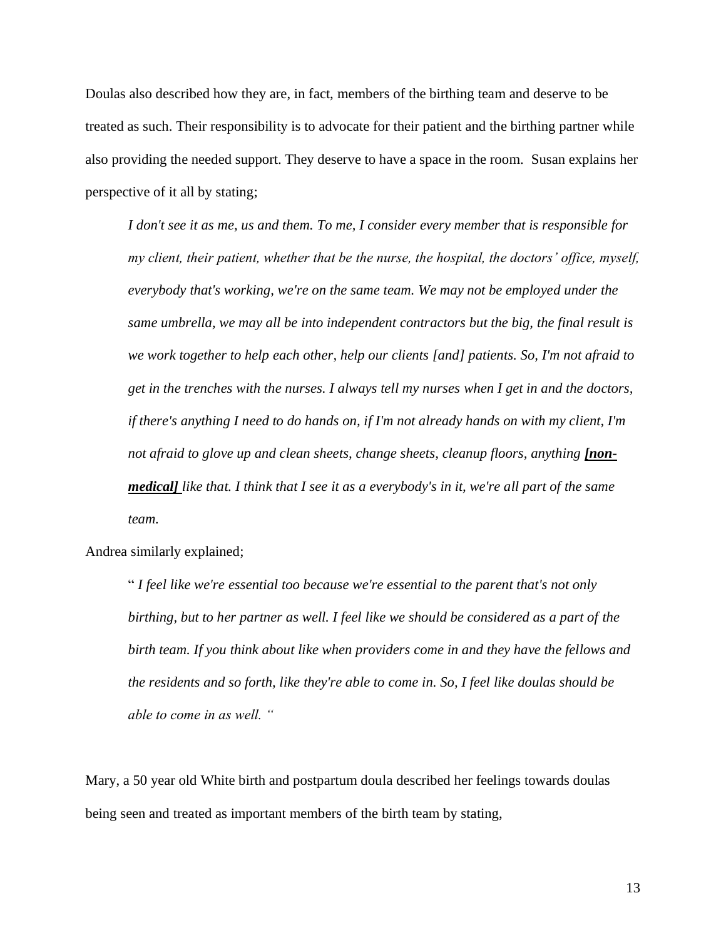Doulas also described how they are, in fact, members of the birthing team and deserve to be treated as such. Their responsibility is to advocate for their patient and the birthing partner while also providing the needed support. They deserve to have a space in the room. Susan explains her perspective of it all by stating;

*I don't see it as me, us and them. To me, I consider every member that is responsible for my client, their patient, whether that be the nurse, the hospital, the doctors' office, myself, everybody that's working, we're on the same team. We may not be employed under the same umbrella, we may all be into independent contractors but the big, the final result is we work together to help each other, help our clients [and] patients. So, I'm not afraid to get in the trenches with the nurses. I always tell my nurses when I get in and the doctors, if there's anything I need to do hands on, if I'm not already hands on with my client, I'm not afraid to glove up and clean sheets, change sheets, cleanup floors, anything [nonmedical] like that. I think that I see it as a everybody's in it, we're all part of the same team.*

Andrea similarly explained;

" *I feel like we're essential too because we're essential to the parent that's not only birthing, but to her partner as well. I feel like we should be considered as a part of the birth team. If you think about like when providers come in and they have the fellows and the residents and so forth, like they're able to come in. So, I feel like doulas should be able to come in as well. "*

Mary, a 50 year old White birth and postpartum doula described her feelings towards doulas being seen and treated as important members of the birth team by stating,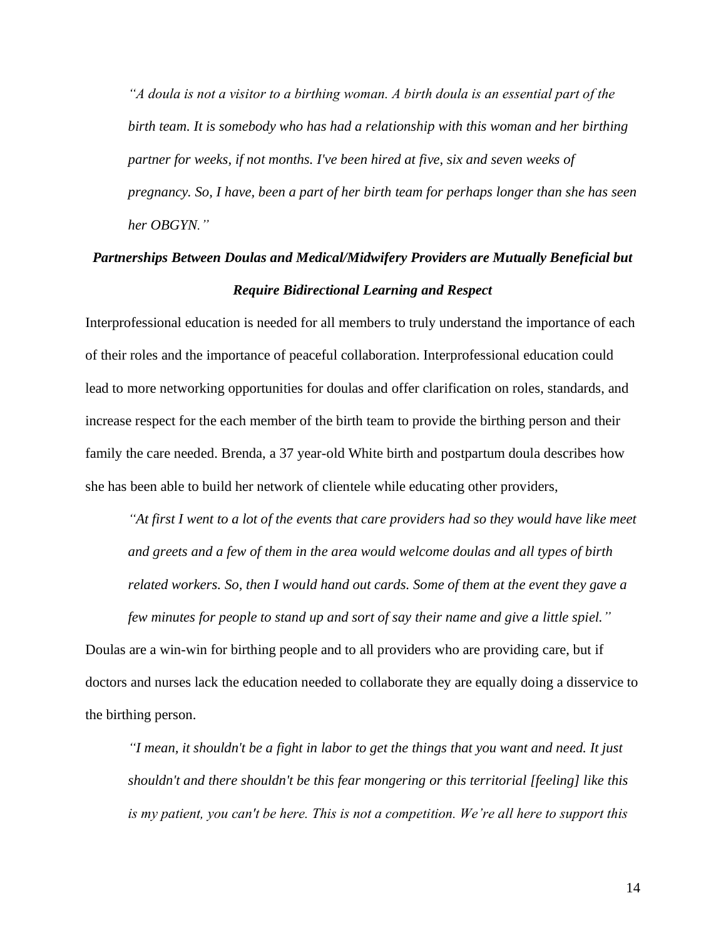*"A doula is not a visitor to a birthing woman. A birth doula is an essential part of the birth team. It is somebody who has had a relationship with this woman and her birthing partner for weeks, if not months. I've been hired at five, six and seven weeks of pregnancy. So, I have, been a part of her birth team for perhaps longer than she has seen her OBGYN."*

## *Partnerships Between Doulas and Medical/Midwifery Providers are Mutually Beneficial but Require Bidirectional Learning and Respect*

Interprofessional education is needed for all members to truly understand the importance of each of their roles and the importance of peaceful collaboration. Interprofessional education could lead to more networking opportunities for doulas and offer clarification on roles, standards, and increase respect for the each member of the birth team to provide the birthing person and their family the care needed. Brenda, a 37 year-old White birth and postpartum doula describes how she has been able to build her network of clientele while educating other providers,

*"At first I went to a lot of the events that care providers had so they would have like meet and greets and a few of them in the area would welcome doulas and all types of birth related workers. So, then I would hand out cards. Some of them at the event they gave a few minutes for people to stand up and sort of say their name and give a little spiel."* 

Doulas are a win-win for birthing people and to all providers who are providing care, but if doctors and nurses lack the education needed to collaborate they are equally doing a disservice to the birthing person.

*"I mean, it shouldn't be a fight in labor to get the things that you want and need. It just shouldn't and there shouldn't be this fear mongering or this territorial [feeling] like this is my patient, you can't be here. This is not a competition. We're all here to support this*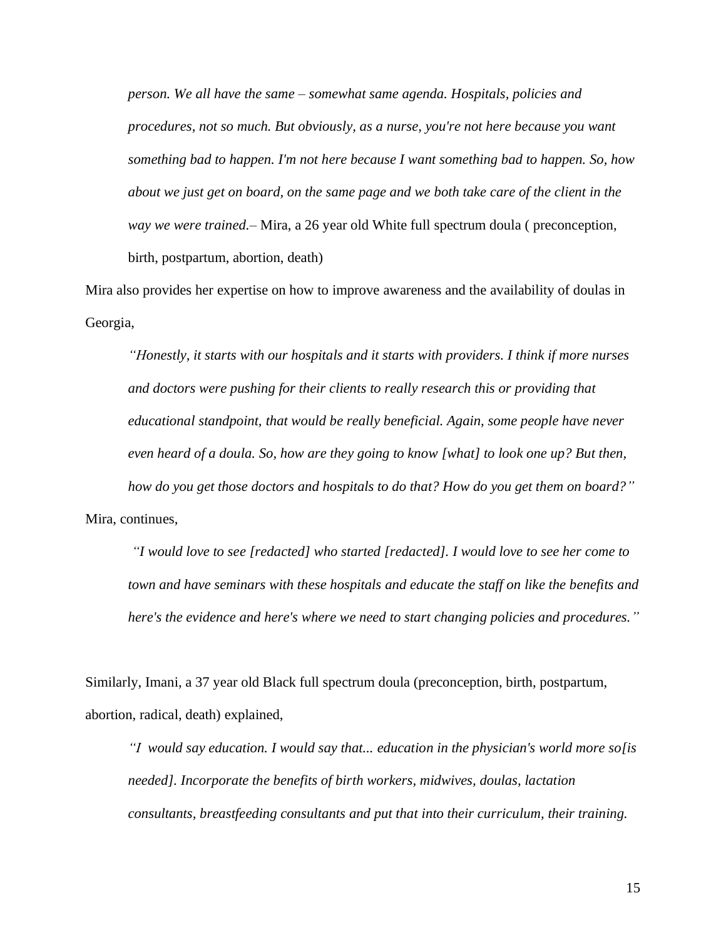*person. We all have the same – somewhat same agenda. Hospitals, policies and procedures, not so much. But obviously, as a nurse, you're not here because you want something bad to happen. I'm not here because I want something bad to happen. So, how about we just get on board, on the same page and we both take care of the client in the way we were trained.–* Mira, a 26 year old White full spectrum doula ( preconception, birth, postpartum, abortion, death)

Mira also provides her expertise on how to improve awareness and the availability of doulas in Georgia,

*"Honestly, it starts with our hospitals and it starts with providers. I think if more nurses and doctors were pushing for their clients to really research this or providing that educational standpoint, that would be really beneficial. Again, some people have never even heard of a doula. So, how are they going to know [what] to look one up? But then, how do you get those doctors and hospitals to do that? How do you get them on board?"*  Mira, continues,

*"I would love to see [redacted] who started [redacted]. I would love to see her come to town and have seminars with these hospitals and educate the staff on like the benefits and here's the evidence and here's where we need to start changing policies and procedures."* 

Similarly, Imani, a 37 year old Black full spectrum doula (preconception, birth, postpartum, abortion, radical, death) explained,

*"I would say education. I would say that... education in the physician's world more so[is needed]. Incorporate the benefits of birth workers, midwives, doulas, lactation consultants, breastfeeding consultants and put that into their curriculum, their training.*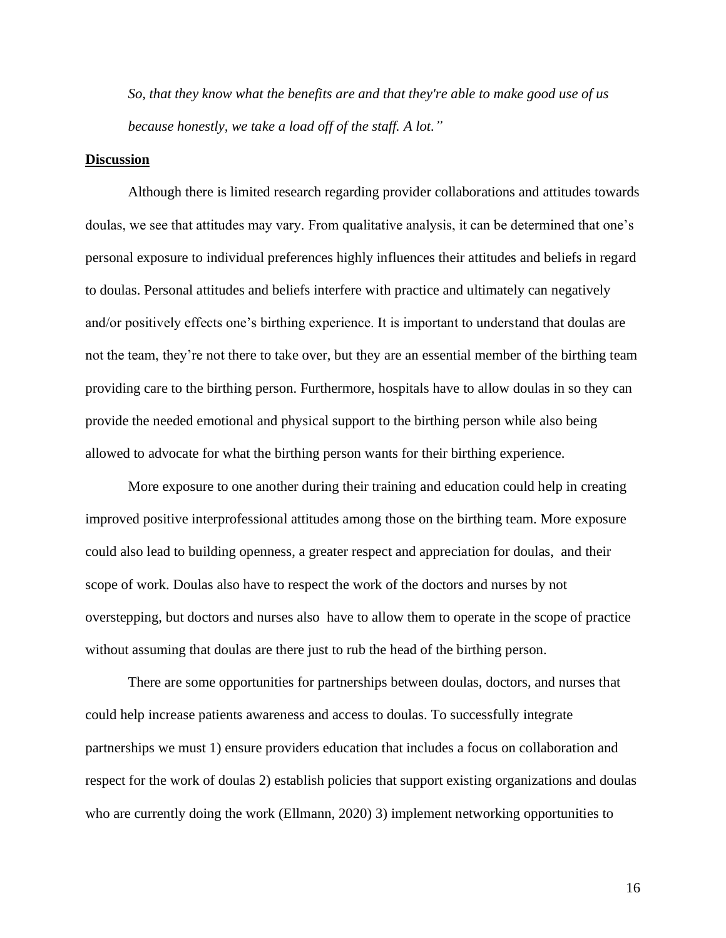*So, that they know what the benefits are and that they're able to make good use of us because honestly, we take a load off of the staff. A lot."* 

#### **Discussion**

Although there is limited research regarding provider collaborations and attitudes towards doulas, we see that attitudes may vary. From qualitative analysis, it can be determined that one's personal exposure to individual preferences highly influences their attitudes and beliefs in regard to doulas. Personal attitudes and beliefs interfere with practice and ultimately can negatively and/or positively effects one's birthing experience. It is important to understand that doulas are not the team, they're not there to take over, but they are an essential member of the birthing team providing care to the birthing person. Furthermore, hospitals have to allow doulas in so they can provide the needed emotional and physical support to the birthing person while also being allowed to advocate for what the birthing person wants for their birthing experience.

More exposure to one another during their training and education could help in creating improved positive interprofessional attitudes among those on the birthing team. More exposure could also lead to building openness, a greater respect and appreciation for doulas, and their scope of work. Doulas also have to respect the work of the doctors and nurses by not overstepping, but doctors and nurses also have to allow them to operate in the scope of practice without assuming that doulas are there just to rub the head of the birthing person.

There are some opportunities for partnerships between doulas, doctors, and nurses that could help increase patients awareness and access to doulas. To successfully integrate partnerships we must 1) ensure providers education that includes a focus on collaboration and respect for the work of doulas 2) establish policies that support existing organizations and doulas who are currently doing the work (Ellmann, 2020) 3) implement networking opportunities to

16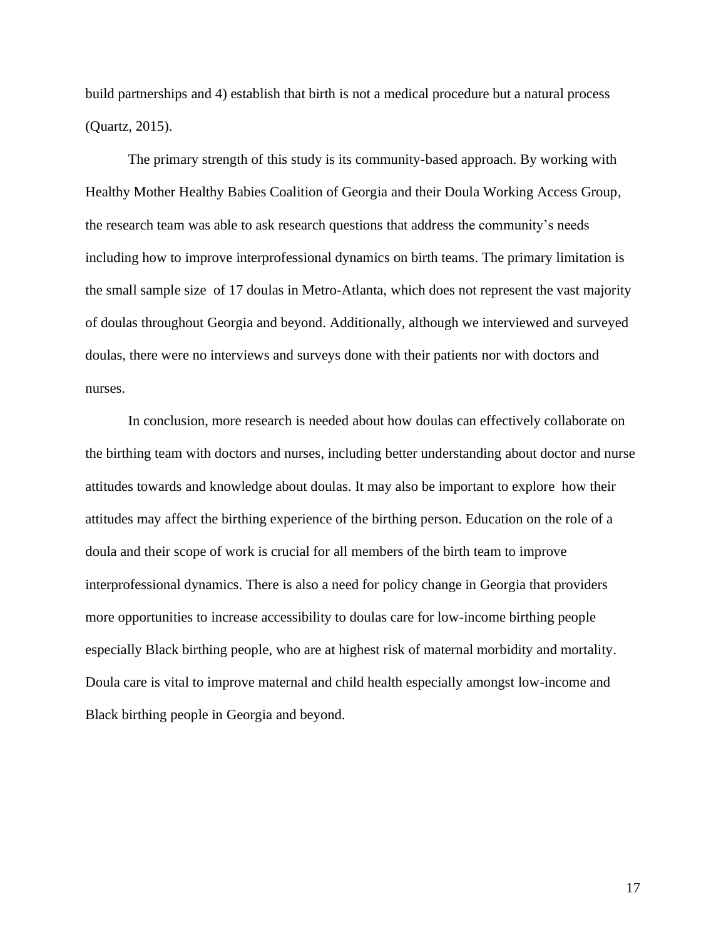build partnerships and 4) establish that birth is not a medical procedure but a natural process (Quartz, 2015).

The primary strength of this study is its community-based approach. By working with Healthy Mother Healthy Babies Coalition of Georgia and their Doula Working Access Group, the research team was able to ask research questions that address the community's needs including how to improve interprofessional dynamics on birth teams. The primary limitation is the small sample size of 17 doulas in Metro-Atlanta, which does not represent the vast majority of doulas throughout Georgia and beyond. Additionally, although we interviewed and surveyed doulas, there were no interviews and surveys done with their patients nor with doctors and nurses.

In conclusion, more research is needed about how doulas can effectively collaborate on the birthing team with doctors and nurses, including better understanding about doctor and nurse attitudes towards and knowledge about doulas. It may also be important to explore how their attitudes may affect the birthing experience of the birthing person. Education on the role of a doula and their scope of work is crucial for all members of the birth team to improve interprofessional dynamics. There is also a need for policy change in Georgia that providers more opportunities to increase accessibility to doulas care for low-income birthing people especially Black birthing people, who are at highest risk of maternal morbidity and mortality. Doula care is vital to improve maternal and child health especially amongst low-income and Black birthing people in Georgia and beyond.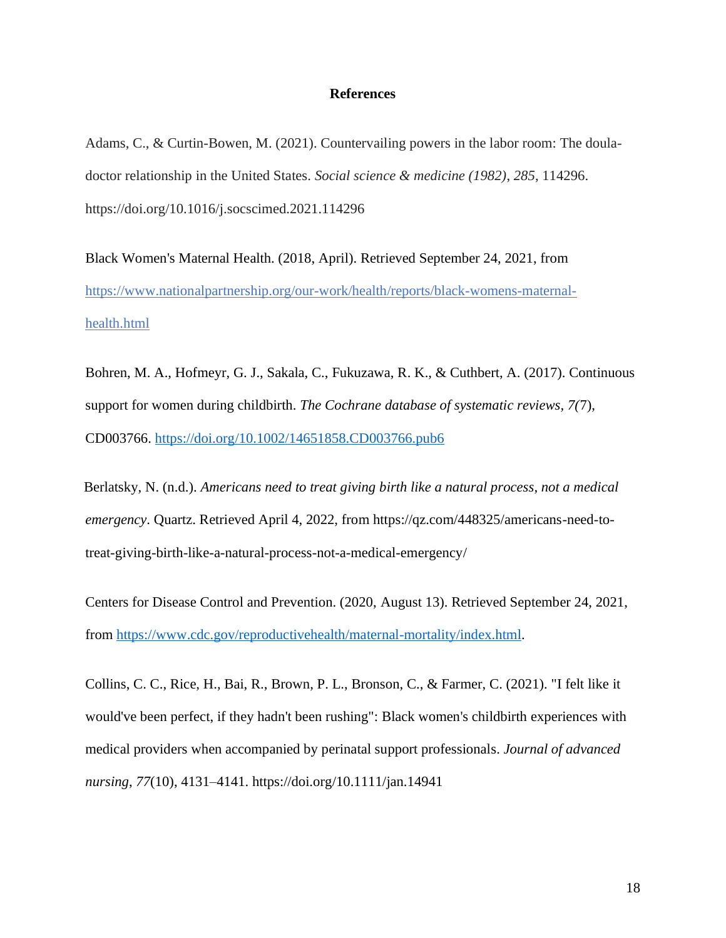#### **References**

Adams, C., & Curtin-Bowen, M. (2021). Countervailing powers in the labor room: The douladoctor relationship in the United States. *Social science & medicine (1982)*, *285*, 114296. https://doi.org/10.1016/j.socscimed.2021.114296

Black Women's Maternal Health. (2018, April). Retrieved September 24, 2021, from [https://www.nationalpartnership.org/our-work/health/reports/black-womens-maternal](https://www.nationalpartnership.org/our-work/health/reports/black-womens-maternal-health.html)[health.html](https://www.nationalpartnership.org/our-work/health/reports/black-womens-maternal-health.html)

Bohren, M. A., Hofmeyr, G. J., Sakala, C., Fukuzawa, R. K., & Cuthbert, A. (2017). Continuous support for women during childbirth. *The Cochrane database of systematic reviews, 7(*7), CD003766.<https://doi.org/10.1002/14651858.CD003766.pub6>

Berlatsky, N. (n.d.). *Americans need to treat giving birth like a natural process, not a medical emergency*. Quartz. Retrieved April 4, 2022, from https://qz.com/448325/americans-need-totreat-giving-birth-like-a-natural-process-not-a-medical-emergency/

Centers for Disease Control and Prevention. (2020, August 13). Retrieved September 24, 2021, from [https://www.cdc.gov/reproductivehealth/maternal-mortality/index.html.](https://www.cdc.gov/reproductivehealth/maternal-mortality/index.html)

Collins, C. C., Rice, H., Bai, R., Brown, P. L., Bronson, C., & Farmer, C. (2021). "I felt like it would've been perfect, if they hadn't been rushing": Black women's childbirth experiences with medical providers when accompanied by perinatal support professionals. *Journal of advanced nursing*, *77*(10), 4131–4141. https://doi.org/10.1111/jan.14941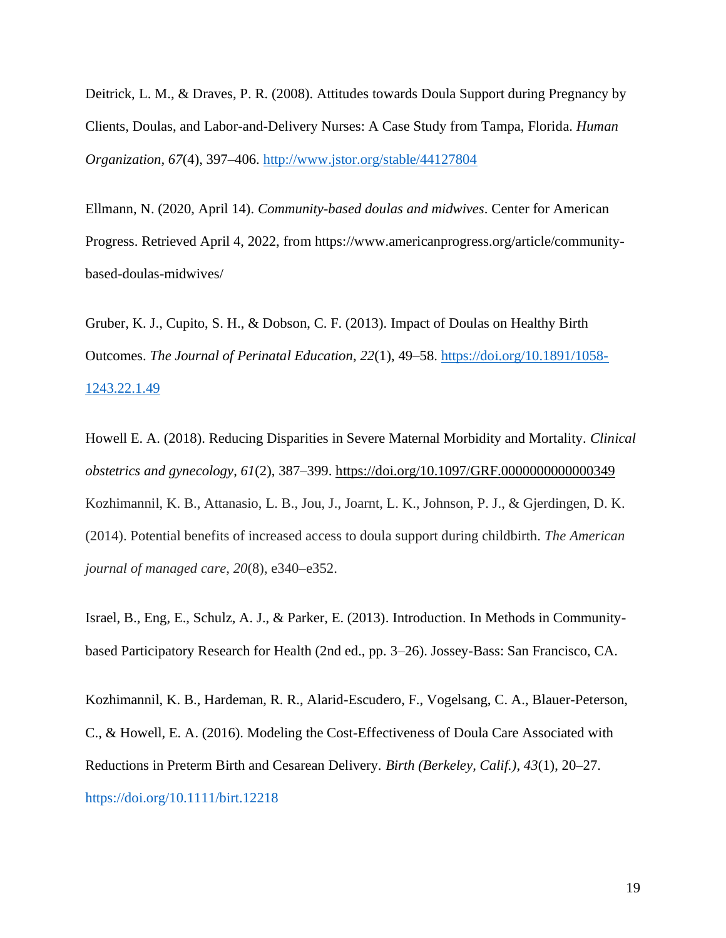Deitrick, L. M., & Draves, P. R. (2008). Attitudes towards Doula Support during Pregnancy by Clients, Doulas, and Labor-and-Delivery Nurses: A Case Study from Tampa, Florida. *Human Organization, 67*(4), 397–406.<http://www.jstor.org/stable/44127804>

Ellmann, N. (2020, April 14). *Community-based doulas and midwives*. Center for American Progress. Retrieved April 4, 2022, from https://www.americanprogress.org/article/communitybased-doulas-midwives/

Gruber, K. J., Cupito, S. H., & Dobson, C. F. (2013). Impact of Doulas on Healthy Birth Outcomes. *The Journal of Perinatal Education*, *22*(1), 49–58. [https://doi.org/10.1891/1058-](https://doi.org/10.1891/1058-1243.22.1.49) [1243.22.1.49](https://doi.org/10.1891/1058-1243.22.1.49)

Howell E. A. (2018). Reducing Disparities in Severe Maternal Morbidity and Mortality. *Clinical obstetrics and gynecology*, *61*(2), 387–399.<https://doi.org/10.1097/GRF.0000000000000349> Kozhimannil, K. B., Attanasio, L. B., Jou, J., Joarnt, L. K., Johnson, P. J., & Gjerdingen, D. K. (2014). Potential benefits of increased access to doula support during childbirth. *The American journal of managed care*, *20*(8), e340–e352.

Israel, B., Eng, E., Schulz, A. J., & Parker, E. (2013). Introduction. In Methods in Communitybased Participatory Research for Health (2nd ed., pp. 3–26). Jossey-Bass: San Francisco, CA.

Kozhimannil, K. B., Hardeman, R. R., Alarid-Escudero, F., Vogelsang, C. A., Blauer-Peterson, C., & Howell, E. A. (2016). Modeling the Cost-Effectiveness of Doula Care Associated with Reductions in Preterm Birth and Cesarean Delivery. *Birth (Berkeley, Calif.)*, *43*(1), 20–27. https://doi.org/10.1111/birt.12218